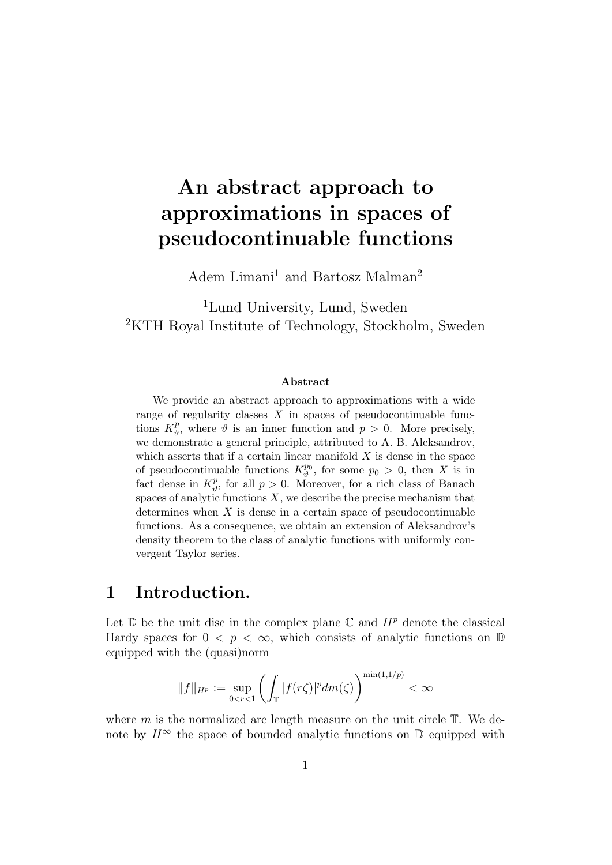# An abstract approach to approximations in spaces of pseudocontinuable functions

Adem Limani $1$  and Bartosz  $\mathrm{Malman}^2$ 

<sup>1</sup>Lund University, Lund, Sweden <sup>2</sup>KTH Royal Institute of Technology, Stockholm, Sweden

#### Abstract

We provide an abstract approach to approximations with a wide range of regularity classes  $X$  in spaces of pseudocontinuable functions  $K^p_{\theta}$  $_p^p$ , where  $\vartheta$  is an inner function and  $p > 0$ . More precisely, we demonstrate a general principle, attributed to A. B. Aleksandrov, which asserts that if a certain linear manifold  $X$  is dense in the space of pseudocontinuable functions  $K^{p_0}_{\vartheta}$  $p_0^{p_0}$ , for some  $p_0 > 0$ , then X is in fact dense in  $K^p_{\theta}$  $_p^p$ , for all  $p > 0$ . Moreover, for a rich class of Banach spaces of analytic functions  $X$ , we describe the precise mechanism that determines when  $X$  is dense in a certain space of pseudocontinuable functions. As a consequence, we obtain an extension of Aleksandrov's density theorem to the class of analytic functions with uniformly convergent Taylor series.

## 1 Introduction.

Let  $\mathbb D$  be the unit disc in the complex plane  $\mathbb C$  and  $H^p$  denote the classical Hardy spaces for  $0 \leq p \leq \infty$ , which consists of analytic functions on  $\mathbb{D}$ equipped with the (quasi)norm

$$
||f||_{H^p} := \sup_{0 < r < 1} \left( \int_{\mathbb{T}} |f(r\zeta)|^p dm(\zeta) \right)^{\min(1,1/p)} < \infty
$$

where  $m$  is the normalized arc length measure on the unit circle  $T$ . We denote by  $H^{\infty}$  the space of bounded analytic functions on  $\mathbb D$  equipped with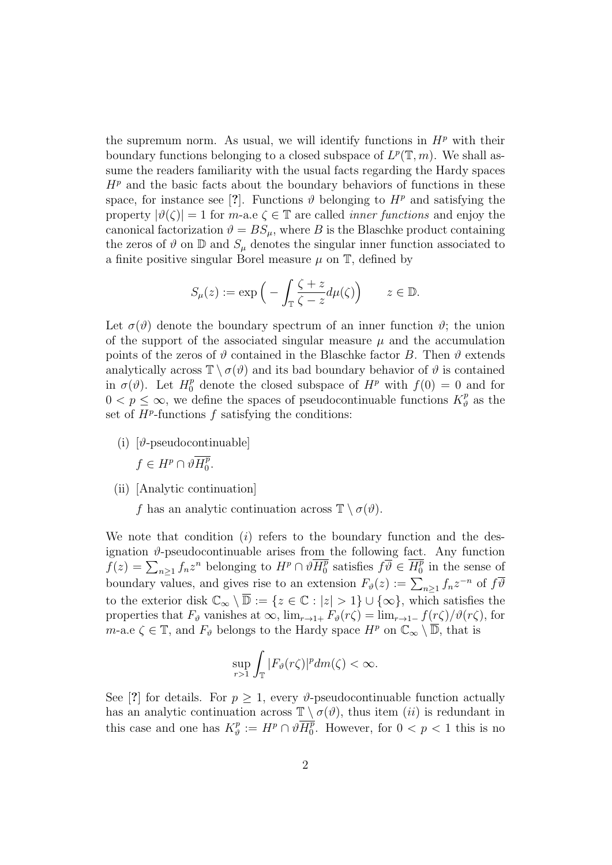the supremum norm. As usual, we will identify functions in  $H^p$  with their boundary functions belonging to a closed subspace of  $L^p(\mathbb{T},m)$ . We shall assume the readers familiarity with the usual facts regarding the Hardy spaces  $H<sup>p</sup>$  and the basic facts about the boundary behaviors of functions in these space, for instance see [?]. Functions  $\vartheta$  belonging to  $H^p$  and satisfying the property  $|\vartheta(\zeta)| = 1$  for m-a.e  $\zeta \in \mathbb{T}$  are called *inner functions* and enjoy the canonical factorization  $\vartheta = BS_{\mu}$ , where B is the Blaschke product containing the zeros of  $\vartheta$  on  $\mathbb D$  and  $S_\mu$  denotes the singular inner function associated to a finite positive singular Borel measure  $\mu$  on  $\mathbb{T}$ , defined by

$$
S_{\mu}(z) := \exp\left(-\int_{\mathbb{T}} \frac{\zeta + z}{\zeta - z} d\mu(\zeta)\right) \qquad z \in \mathbb{D}.
$$

Let  $\sigma(\vartheta)$  denote the boundary spectrum of an inner function  $\vartheta$ ; the union of the support of the associated singular measure  $\mu$  and the accumulation points of the zeros of  $\vartheta$  contained in the Blaschke factor B. Then  $\vartheta$  extends analytically across  $\mathbb{T} \setminus \sigma(\vartheta)$  and its bad boundary behavior of  $\vartheta$  is contained in  $\sigma(\vartheta)$ . Let  $H_0^p$  denote the closed subspace of  $H^p$  with  $f(0) = 0$  and for  $0 < p \leq \infty$ , we define the spaces of pseudocontinuable functions  $K_p^p$  $\frac{p}{\vartheta}$  as the set of  $H^p$ -functions f satisfying the conditions:

(i)  $[\theta$ -pseudocontinuable

 $f \in H^p \cap \vartheta \overline{H^p_0}$  $\frac{p}{0}$ .

(ii) [Analytic continuation]

f has an analytic continuation across  $\mathbb{T} \setminus \sigma(\vartheta)$ .

We note that condition  $(i)$  refers to the boundary function and the designation  $\vartheta$ -pseudocontinuable arises from the following fact. Any function  $f(z) = \sum_{n\geq 1} f_n z^n$  belonging to  $H^p \cap \vartheta \overline{H_0^p}$  $\overline{p}$  satisfies  $f\overline{\vartheta} \in \overline{H^p_0}$  $\binom{p}{0}$  in the sense of boundary values, and gives rise to an extension  $F_{\theta}(z) := \sum_{n \geq 1} f_n z^{-n}$  of  $f \overline{\theta}$ to the exterior disk  $\mathbb{C}_{\infty} \setminus \overline{\mathbb{D}} := \{z \in \mathbb{C} : |z| > 1\} \cup \{\infty\}$ , which satisfies the properties that  $F_{\vartheta}$  vanishes at  $\infty$ ,  $\lim_{r\to 1+} F_{\vartheta}(r\zeta) = \lim_{r\to 1-} f(r\zeta)/\vartheta(r\zeta)$ , for m-a.e  $\zeta \in \mathbb{T}$ , and  $F_{\vartheta}$  belongs to the Hardy space  $H^p$  on  $\mathbb{C}_{\infty} \setminus \overline{\mathbb{D}}$ , that is

$$
\sup_{r>1}\int_{\mathbb{T}}|F_{\vartheta}(r\zeta)|^p dm(\zeta)<\infty.
$$

See [?] for details. For  $p \geq 1$ , every  $\vartheta$ -pseudocontinuable function actually has an analytic continuation across  $\mathbb{T} \setminus \sigma(\vartheta)$ , thus item *(ii)* is redundant in this case and one has  $K_p^p$  $\partial\overline{\partial}^p:=H^p\cap\vartheta\overline{H^p_0}$  $_{0}^{p}$ . However, for  $0 < p < 1$  this is no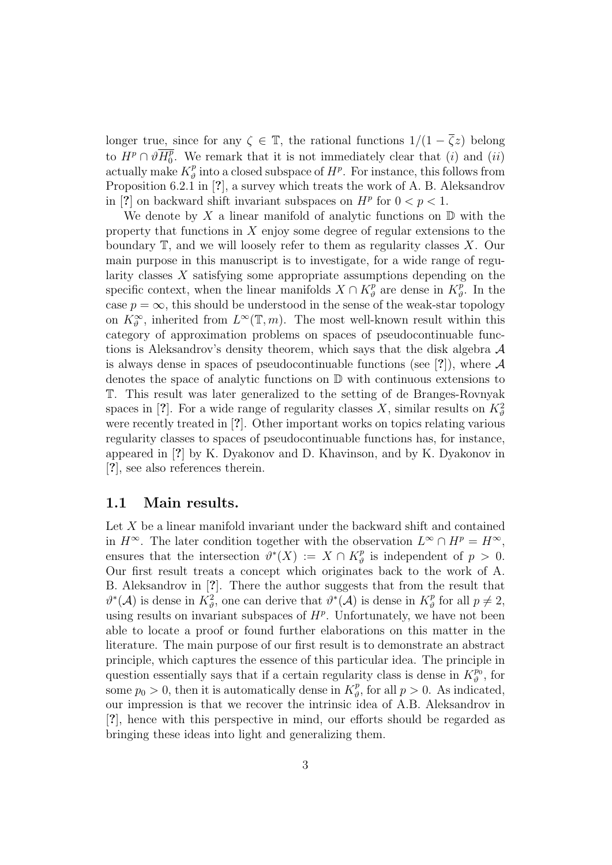longer true, since for any  $\zeta \in \mathbb{T}$ , the rational functions  $1/(1 - \overline{\zeta}z)$  belong to  $H^p\cap \vartheta \overline{H^p_0}$  $_0^p$ . We remark that it is not immediately clear that (*i*) and (*ii*) actually make  $K_p^p$  $\frac{p}{\vartheta}$  into a closed subspace of  $H^p$ . For instance, this follows from Proposition 6.2.1 in [?], a survey which treats the work of A. B. Aleksandrov in [?] on backward shift invariant subspaces on  $H^p$  for  $0 < p < 1$ .

We denote by  $X$  a linear manifold of analytic functions on  $D$  with the property that functions in  $X$  enjoy some degree of regular extensions to the boundary  $\mathbb{T}$ , and we will loosely refer to them as regularity classes X. Our main purpose in this manuscript is to investigate, for a wide range of regularity classes X satisfying some appropriate assumptions depending on the specific context, when the linear manifolds  $X \cap K_{\theta}^p$  $\chi^p_\vartheta$  are dense in  $K^p_\vartheta$  $v^p_{\theta}$ . In the case  $p = \infty$ , this should be understood in the sense of the weak-star topology on  $K_{\vartheta}^{\infty}$ , inherited from  $L^{\infty}(\mathbb{T},m)$ . The most well-known result within this category of approximation problems on spaces of pseudocontinuable functions is Aleksandrov's density theorem, which says that the disk algebra  $A$ is always dense in spaces of pseudocontinuable functions (see [?]), where  $A$ denotes the space of analytic functions on D with continuous extensions to T. This result was later generalized to the setting of de Branges-Rovnyak spaces in [?]. For a wide range of regularity classes X, similar results on  $K^2_{\theta}$ were recently treated in [?]. Other important works on topics relating various regularity classes to spaces of pseudocontinuable functions has, for instance, appeared in [?] by K. Dyakonov and D. Khavinson, and by K. Dyakonov in [?], see also references therein.

#### 1.1 Main results.

Let X be a linear manifold invariant under the backward shift and contained in  $H^{\infty}$ . The later condition together with the observation  $L^{\infty} \cap H^{p} = H^{\infty}$ , ensures that the intersection  $\vartheta^*(X) := X \cap K^p_{\vartheta}$  $\frac{p}{\vartheta}$  is independent of  $p > 0$ . Our first result treats a concept which originates back to the work of A. B. Aleksandrov in [?]. There the author suggests that from the result that  $\vartheta^*(\mathcal{A})$  is dense in  $K^2_{\vartheta}$ , one can derive that  $\vartheta^*(\mathcal{A})$  is dense in  $K^p_{\vartheta}$  $p^p_{\theta}$  for all  $p \neq 2$ , using results on invariant subspaces of  $H<sup>p</sup>$ . Unfortunately, we have not been able to locate a proof or found further elaborations on this matter in the literature. The main purpose of our first result is to demonstrate an abstract principle, which captures the essence of this particular idea. The principle in question essentially says that if a certain regularity class is dense in  $K_q^{p_0}$  $\stackrel{\textstyle{p_0}}{\vartheta},$  for some  $p_0 > 0$ , then it is automatically dense in  $K_{\vartheta}^p$  $_p^p$ , for all  $p > 0$ . As indicated, our impression is that we recover the intrinsic idea of A.B. Aleksandrov in [?], hence with this perspective in mind, our efforts should be regarded as bringing these ideas into light and generalizing them.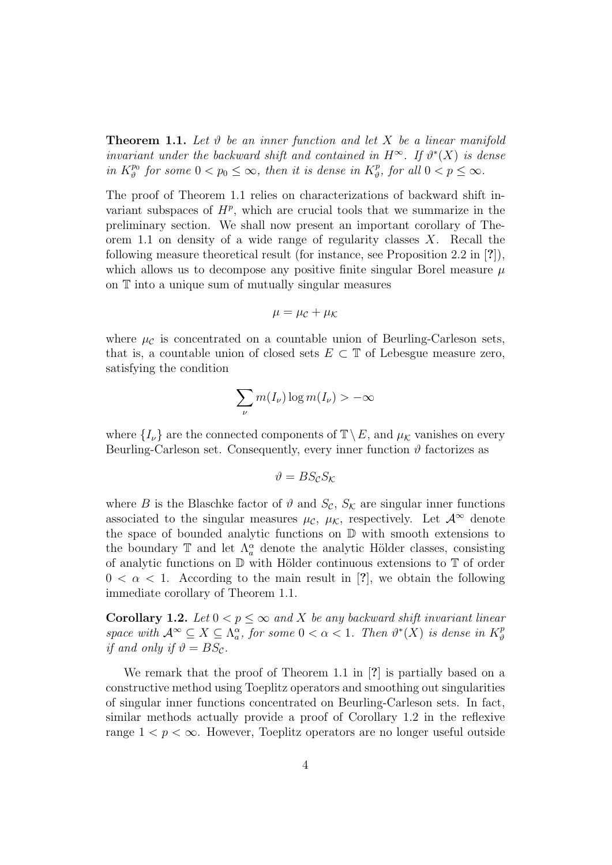**Theorem 1.1.** Let  $\vartheta$  be an inner function and let X be a linear manifold invariant under the backward shift and contained in  $H^{\infty}$ . If  $\vartheta^*(X)$  is dense in  $K^{p_0}_{\vartheta}$  $\frac{p_0}{\vartheta}$  for some  $0 < p_0 \leq \infty$ , then it is dense in  $K^p_{\vartheta}$  $x_p^p$ , for all  $0 < p \leq \infty$ .

The proof of Theorem 1.1 relies on characterizations of backward shift invariant subspaces of  $H^p$ , which are crucial tools that we summarize in the preliminary section. We shall now present an important corollary of Theorem 1.1 on density of a wide range of regularity classes  $X$ . Recall the following measure theoretical result (for instance, see Proposition 2.2 in [?]), which allows us to decompose any positive finite singular Borel measure  $\mu$ on T into a unique sum of mutually singular measures

$$
\mu = \mu_{\mathcal{C}} + \mu_{\mathcal{K}}
$$

where  $\mu_c$  is concentrated on a countable union of Beurling-Carleson sets, that is, a countable union of closed sets  $E \subset \mathbb{T}$  of Lebesgue measure zero, satisfying the condition

$$
\sum_{\nu} m(I_{\nu}) \log m(I_{\nu}) > -\infty
$$

where  $\{I_{\nu}\}\$ are the connected components of  $\mathbb{T}\setminus E$ , and  $\mu_{\mathcal{K}}\$  vanishes on every Beurling-Carleson set. Consequently, every inner function  $\vartheta$  factorizes as

$$
\vartheta = BS_{\mathcal{C}}S_{\mathcal{K}}
$$

where B is the Blaschke factor of  $\vartheta$  and  $S_{\mathcal{C}}$ ,  $S_{\mathcal{K}}$  are singular inner functions associated to the singular measures  $\mu_{\mathcal{C}}$ ,  $\mu_{\mathcal{K}}$ , respectively. Let  $\mathcal{A}^{\infty}$  denote the space of bounded analytic functions on  $\mathbb D$  with smooth extensions to the boundary  $\mathbb T$  and let  $\Lambda_a^{\alpha}$  denote the analytic Hölder classes, consisting of analytic functions on  $\mathbb D$  with Hölder continuous extensions to  $\mathbb T$  of order  $0 < \alpha < 1$ . According to the main result in [?], we obtain the following immediate corollary of Theorem 1.1.

**Corollary 1.2.** Let  $0 < p \leq \infty$  and X be any backward shift invariant linear space with  $\mathcal{A}^{\infty} \subseteq X \subseteq \Lambda_a^{\alpha}$ , for some  $0 < \alpha < 1$ . Then  $\vartheta^*(X)$  is dense in  $K_{\vartheta}^p$  $\vartheta$ if and only if  $\vartheta = BS_{\mathcal{C}}$ .

We remark that the proof of Theorem 1.1 in [?] is partially based on a constructive method using Toeplitz operators and smoothing out singularities of singular inner functions concentrated on Beurling-Carleson sets. In fact, similar methods actually provide a proof of Corollary 1.2 in the reflexive range  $1 < p < \infty$ . However, Toeplitz operators are no longer useful outside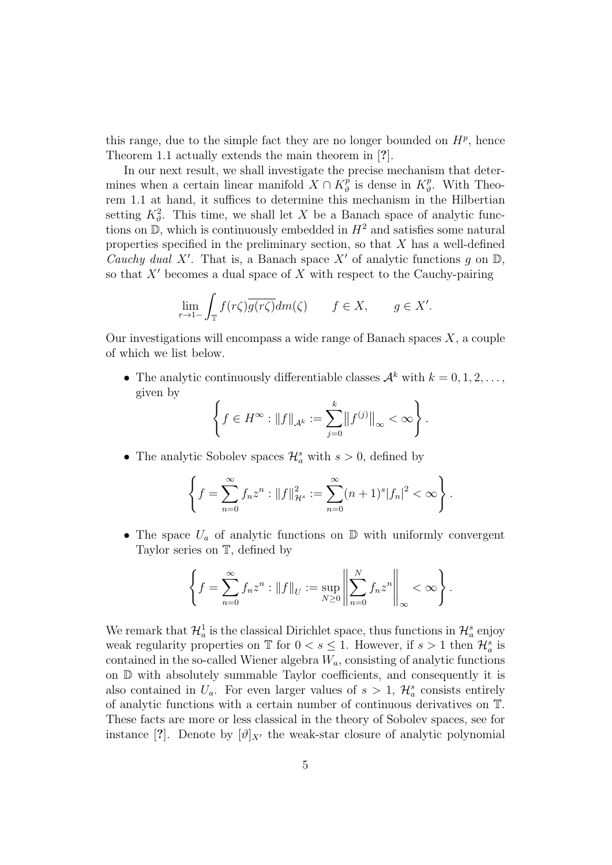this range, due to the simple fact they are no longer bounded on  $H<sup>p</sup>$ , hence Theorem 1.1 actually extends the main theorem in [?].

In our next result, we shall investigate the precise mechanism that determines when a certain linear manifold  $X \cap K_{\theta}^p$  $\frac{r}{\vartheta}$  is dense in  $K_{\vartheta}^p$  $v^p_{\theta}$ . With Theorem 1.1 at hand, it suffices to determine this mechanism in the Hilbertian setting  $K^2_{\theta}$ . This time, we shall let X be a Banach space of analytic functions on  $\mathbb{D}$ , which is continuously embedded in  $H^2$  and satisfies some natural properties specified in the preliminary section, so that  $X$  has a well-defined Cauchy dual X'. That is, a Banach space X' of analytic functions g on  $\mathbb{D}$ , so that  $X'$  becomes a dual space of  $X$  with respect to the Cauchy-pairing

$$
\lim_{r \to 1^-} \int_{\mathbb{T}} f(r\zeta) \overline{g(r\zeta)} dm(\zeta) \qquad f \in X, \qquad g \in X'.
$$

Our investigations will encompass a wide range of Banach spaces  $X$ , a couple of which we list below.

• The analytic continuously differentiable classes  $\mathcal{A}^k$  with  $k = 0, 1, 2, \ldots$ , given by

$$
\left\{ f \in H^{\infty} : \|f\|_{\mathcal{A}^k} := \sum_{j=0}^k \|f^{(j)}\|_{\infty} < \infty \right\}.
$$

• The analytic Sobolev spaces  $\mathcal{H}_a^s$  with  $s > 0$ , defined by

$$
\left\{f=\sum_{n=0}^{\infty}f_nz^n:\|f\|_{\mathcal{H}^s}^2:=\sum_{n=0}^{\infty}(n+1)^s|f_n|^2<\infty\right\}.
$$

• The space  $U_a$  of analytic functions on  $\mathbb D$  with uniformly convergent Taylor series on T, defined by

$$
\left\{ f = \sum_{n=0}^{\infty} f_n z^n : ||f||_U := \sup_{N \ge 0} \left\| \sum_{n=0}^N f_n z^n \right\|_{\infty} < \infty \right\}.
$$

We remark that  $\mathcal{H}_a^1$  is the classical Dirichlet space, thus functions in  $\mathcal{H}_a^s$  enjoy weak regularity properties on  $\mathbb T$  for  $0 < s \leq 1$ . However, if  $s > 1$  then  $\mathcal{H}_a^s$  is contained in the so-called Wiener algebra  $W_a$ , consisting of analytic functions on D with absolutely summable Taylor coefficients, and consequently it is also contained in  $U_a$ . For even larger values of  $s > 1$ ,  $\mathcal{H}_a^s$  consists entirely of analytic functions with a certain number of continuous derivatives on T. These facts are more or less classical in the theory of Sobolev spaces, see for instance [?]. Denote by  $[\vartheta]_{X'}$  the weak-star closure of analytic polynomial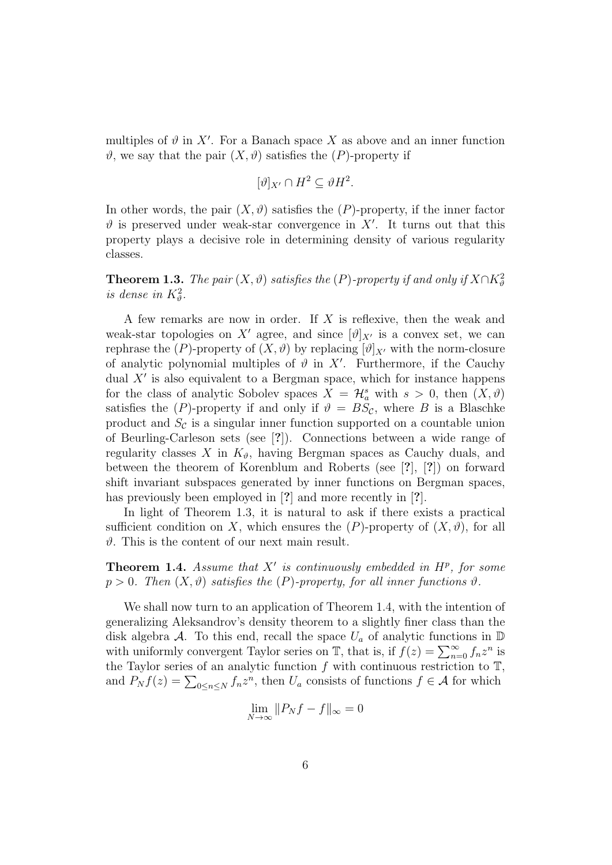multiples of  $\vartheta$  in X'. For a Banach space X as above and an inner function  $\vartheta$ , we say that the pair  $(X, \vartheta)$  satisfies the  $(P)$ -property if

$$
[\vartheta]_{X'} \cap H^2 \subseteq \vartheta H^2.
$$

In other words, the pair  $(X, \vartheta)$  satisfies the  $(P)$ -property, if the inner factor  $\vartheta$  is preserved under weak-star convergence in X'. It turns out that this property plays a decisive role in determining density of various regularity classes.

**Theorem 1.3.** The pair  $(X, \vartheta)$  satisfies the  $(P)$ -property if and only if  $X \cap K_{\vartheta}^2$ is dense in  $K^2_{\theta}$ .

A few remarks are now in order. If X is reflexive, then the weak and weak-star topologies on X' agree, and since  $[\vartheta]_{X}$  is a convex set, we can rephrase the  $(P)$ -property of  $(X, \vartheta)$  by replacing  $[\vartheta]_{X}$  with the norm-closure of analytic polynomial multiples of  $\vartheta$  in X'. Furthermore, if the Cauchy dual  $X'$  is also equivalent to a Bergman space, which for instance happens for the class of analytic Sobolev spaces  $X = \mathcal{H}_a^s$  with  $s > 0$ , then  $(X, \vartheta)$ satisfies the  $(P)$ -property if and only if  $\vartheta = BS_{\mathcal{C}}$ , where B is a Blaschke product and  $S_c$  is a singular inner function supported on a countable union of Beurling-Carleson sets (see [?]). Connections between a wide range of regularity classes X in  $K_{\vartheta}$ , having Bergman spaces as Cauchy duals, and between the theorem of Korenblum and Roberts (see [?], [?]) on forward shift invariant subspaces generated by inner functions on Bergman spaces, has previously been employed in [?] and more recently in [?].

In light of Theorem 1.3, it is natural to ask if there exists a practical sufficient condition on X, which ensures the  $(P)$ -property of  $(X, \vartheta)$ , for all  $\vartheta$ . This is the content of our next main result.

**Theorem 1.4.** Assume that  $X'$  is continuously embedded in  $H^p$ , for some  $p > 0$ . Then  $(X, \vartheta)$  satisfies the  $(P)$ -property, for all inner functions  $\vartheta$ .

We shall now turn to an application of Theorem 1.4, with the intention of generalizing Aleksandrov's density theorem to a slightly finer class than the disk algebra A. To this end, recall the space  $U_a$  of analytic functions in  $\mathbb D$ with uniformly convergent Taylor series on  $\mathbb{T}$ , that is, if  $f(z) = \sum_{n=0}^{\infty} f_n z^n$  is the Taylor series of an analytic function f with continuous restriction to  $\mathbb{T}$ , and  $P_N f(z) = \sum_{0 \le n \le N} f_n z^n$ , then  $U_a$  consists of functions  $f \in \mathcal{A}$  for which

$$
\lim_{N \to \infty} ||P_N f - f||_{\infty} = 0
$$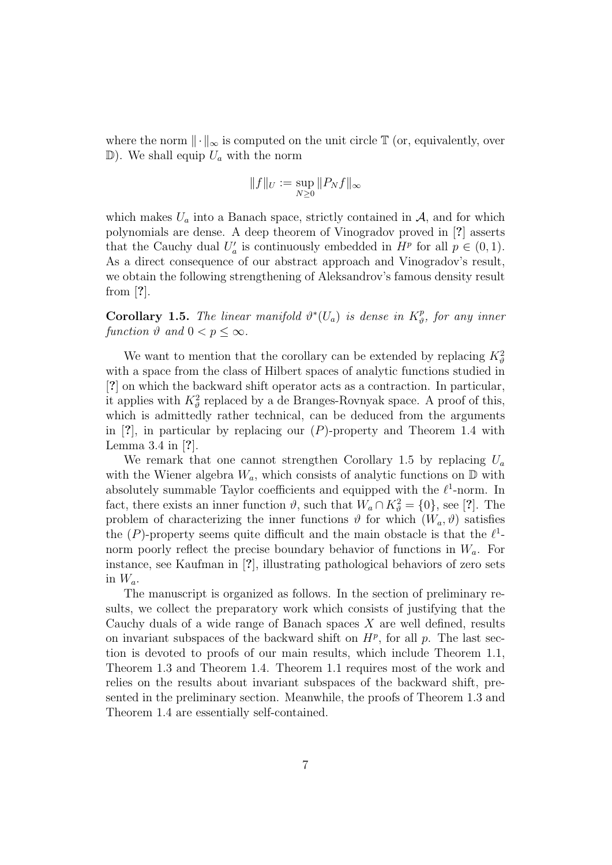where the norm  $\|\cdot\|_{\infty}$  is computed on the unit circle  $\mathbb T$  (or, equivalently, over  $\mathbb{D}$ ). We shall equip  $U_a$  with the norm

$$
\|f\|_U:=\sup_{N\geq 0}\|P_Nf\|_\infty
$$

which makes  $U_a$  into a Banach space, strictly contained in  $A$ , and for which polynomials are dense. A deep theorem of Vinogradov proved in [?] asserts that the Cauchy dual  $U'_a$  is continuously embedded in  $H^p$  for all  $p \in (0,1)$ . As a direct consequence of our abstract approach and Vinogradov's result, we obtain the following strengthening of Aleksandrov's famous density result from [?].

**Corollary 1.5.** The linear manifold  $\vartheta^*(U_a)$  is dense in  $K^p_{\vartheta}$  $\hat{v}_{\vartheta}^{p}$ , for any inner function  $\vartheta$  and  $0 < p < \infty$ .

We want to mention that the corollary can be extended by replacing  $K_{\theta}^2$ with a space from the class of Hilbert spaces of analytic functions studied in [?] on which the backward shift operator acts as a contraction. In particular, it applies with  $K^2_{\theta}$  replaced by a de Branges-Rovnyak space. A proof of this, which is admittedly rather technical, can be deduced from the arguments in  $[?]$ , in particular by replacing our  $(P)$ -property and Theorem 1.4 with Lemma 3.4 in [?].

We remark that one cannot strengthen Corollary 1.5 by replacing  $U_a$ with the Wiener algebra  $W_a$ , which consists of analytic functions on  $\mathbb D$  with absolutely summable Taylor coefficients and equipped with the  $\ell^1$ -norm. In fact, there exists an inner function  $\vartheta$ , such that  $W_a \cap K_{\vartheta}^2 = \{0\}$ , see [?]. The problem of characterizing the inner functions  $\vartheta$  for which  $(W_a, \vartheta)$  satisfies the  $(P)$ -property seems quite difficult and the main obstacle is that the  $\ell^1$ norm poorly reflect the precise boundary behavior of functions in  $W_a$ . For instance, see Kaufman in [?], illustrating pathological behaviors of zero sets in  $W_a$ .

The manuscript is organized as follows. In the section of preliminary results, we collect the preparatory work which consists of justifying that the Cauchy duals of a wide range of Banach spaces X are well defined, results on invariant subspaces of the backward shift on  $H^p$ , for all p. The last section is devoted to proofs of our main results, which include Theorem 1.1, Theorem 1.3 and Theorem 1.4. Theorem 1.1 requires most of the work and relies on the results about invariant subspaces of the backward shift, presented in the preliminary section. Meanwhile, the proofs of Theorem 1.3 and Theorem 1.4 are essentially self-contained.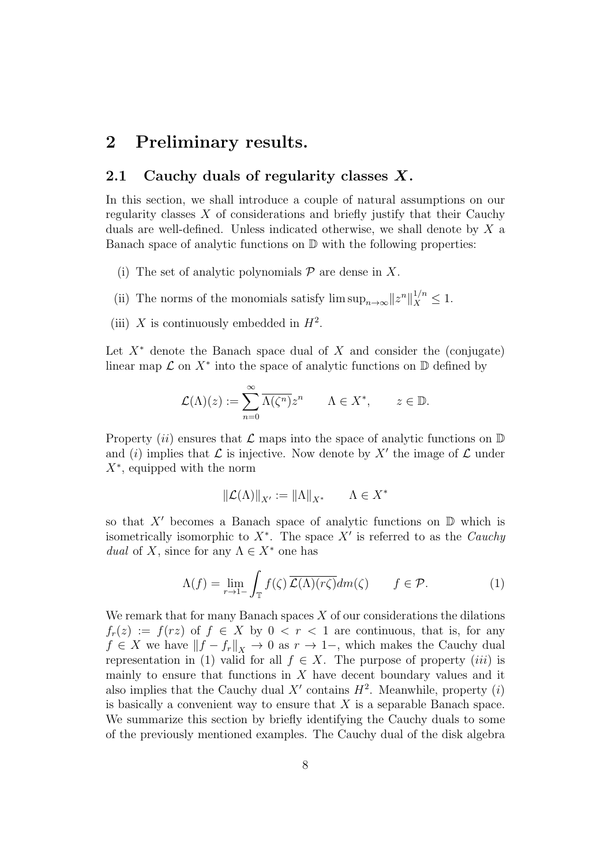## 2 Preliminary results.

#### 2.1 Cauchy duals of regularity classes  $X$ .

In this section, we shall introduce a couple of natural assumptions on our regularity classes  $X$  of considerations and briefly justify that their Cauchy duals are well-defined. Unless indicated otherwise, we shall denote by X a Banach space of analytic functions on D with the following properties:

- (i) The set of analytic polynomials  $P$  are dense in X.
- (ii) The norms of the monomials satisfy  $\limsup_{n\to\infty}||z^n||_X^{1/n} \leq 1$ .
- (iii) X is continuously embedded in  $H^2$ .

Let  $X^*$  denote the Banach space dual of X and consider the (conjugate) linear map  $\mathcal L$  on  $X^*$  into the space of analytic functions on  $\mathbb D$  defined by

$$
\mathcal{L}(\Lambda)(z) := \sum_{n=0}^{\infty} \overline{\Lambda(\zeta^n)} z^n \qquad \Lambda \in X^*, \qquad z \in \mathbb{D}.
$$

Property (ii) ensures that  $\mathcal L$  maps into the space of analytic functions on  $\mathbb D$ and (i) implies that  $\mathcal L$  is injective. Now denote by X' the image of  $\mathcal L$  under  $X^*$ , equipped with the norm

$$
\left\|\mathcal{L}(\Lambda)\right\|_{X'}:=\left\|\Lambda\right\|_{X^*}\qquad \Lambda\in X^*
$$

so that  $X'$  becomes a Banach space of analytic functions on  $D$  which is isometrically isomorphic to  $X^*$ . The space  $X'$  is referred to as the *Cauchy* dual of X, since for any  $\Lambda \in X^*$  one has

$$
\Lambda(f) = \lim_{r \to 1-} \int_{\mathbb{T}} f(\zeta) \overline{\mathcal{L}(\Lambda)(r\zeta)} dm(\zeta) \qquad f \in \mathcal{P}.
$$
 (1)

We remark that for many Banach spaces  $X$  of our considerations the dilations  $f_r(z) := f(rz)$  of  $f \in X$  by  $0 < r < 1$  are continuous, that is, for any  $f \in X$  we have  $||f - f_r||_X \to 0$  as  $r \to 1$ –, which makes the Cauchy dual representation in (1) valid for all  $f \in X$ . The purpose of property *(iii)* is mainly to ensure that functions in  $X$  have decent boundary values and it also implies that the Cauchy dual  $X'$  contains  $H^2$ . Meanwhile, property (i) is basically a convenient way to ensure that  $X$  is a separable Banach space. We summarize this section by briefly identifying the Cauchy duals to some of the previously mentioned examples. The Cauchy dual of the disk algebra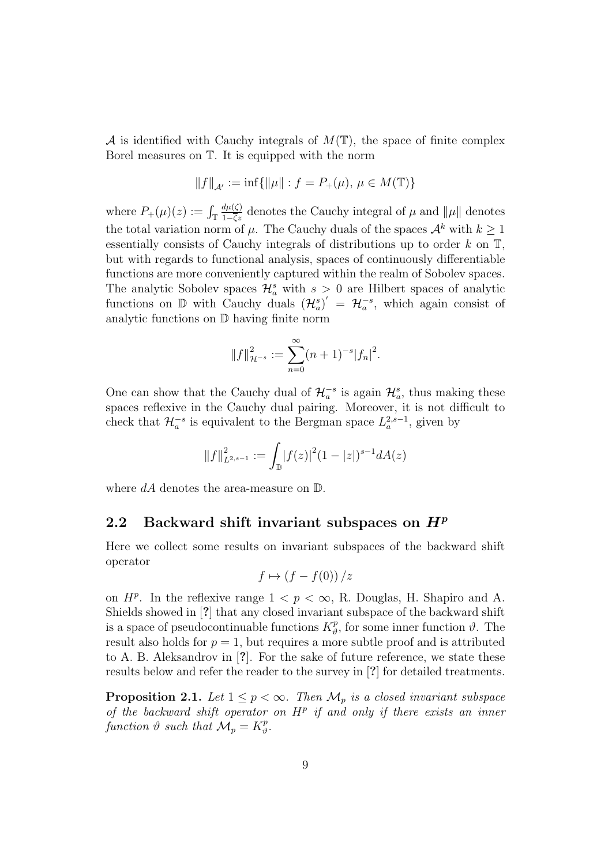A is identified with Cauchy integrals of  $M(\mathbb{T})$ , the space of finite complex Borel measures on T. It is equipped with the norm

$$
||f||_{\mathcal{A}'} := \inf \{ ||\mu|| : f = P_+(\mu), \, \mu \in M(\mathbb{T}) \}
$$

where  $P_+(\mu)(z) := \int_{\mathbb{T}}$  $\frac{d\mu(\zeta)}{1-\overline{\zeta}z}$  denotes the Cauchy integral of  $\mu$  and  $\|\mu\|$  denotes the total variation norm of  $\mu$ . The Cauchy duals of the spaces  $\mathcal{A}^k$  with  $k \geq 1$ essentially consists of Cauchy integrals of distributions up to order  $k$  on  $\mathbb{T}$ , but with regards to functional analysis, spaces of continuously differentiable functions are more conveniently captured within the realm of Sobolev spaces. The analytic Sobolev spaces  $\mathcal{H}_a^s$  with  $s > 0$  are Hilbert spaces of analytic functions on  $\mathbb D$  with Cauchy duals  $(\mathcal{H}_a^s)' = \mathcal{H}_a^{-s}$ , which again consist of analytic functions on D having finite norm

$$
||f||_{\mathcal{H}^{-s}}^2 := \sum_{n=0}^{\infty} (n+1)^{-s} |f_n|^2.
$$

One can show that the Cauchy dual of  $\mathcal{H}_a^{-s}$  is again  $\mathcal{H}_a^s$ , thus making these spaces reflexive in the Cauchy dual pairing. Moreover, it is not difficult to check that  $\mathcal{H}_a^{-s}$  is equivalent to the Bergman space  $L_a^{2,s-1}$ , given by

$$
||f||_{L^{2,s-1}}^2 := \int_{\mathbb{D}} |f(z)|^2 (1-|z|)^{s-1} dA(z)
$$

where  $dA$  denotes the area-measure on  $D$ .

#### 2.2 Backward shift invariant subspaces on  $H^p$

Here we collect some results on invariant subspaces of the backward shift operator

$$
f \mapsto (f - f(0)) / z
$$

on  $H^p$ . In the reflexive range  $1 < p < \infty$ , R. Douglas, H. Shapiro and A. Shields showed in [?] that any closed invariant subspace of the backward shift is a space of pseudocontinuable functions  $K_p^p$  $\psi^p_{\theta}$ , for some inner function  $\vartheta$ . The result also holds for  $p = 1$ , but requires a more subtle proof and is attributed to A. B. Aleksandrov in [?]. For the sake of future reference, we state these results below and refer the reader to the survey in [?] for detailed treatments.

**Proposition 2.1.** Let  $1 \leq p < \infty$ . Then  $\mathcal{M}_p$  is a closed invariant subspace of the backward shift operator on  $H^p$  if and only if there exists an inner function  $\vartheta$  such that  $\mathcal{M}_p = K^p_{\vartheta}$  $_{\vartheta}^{p}.$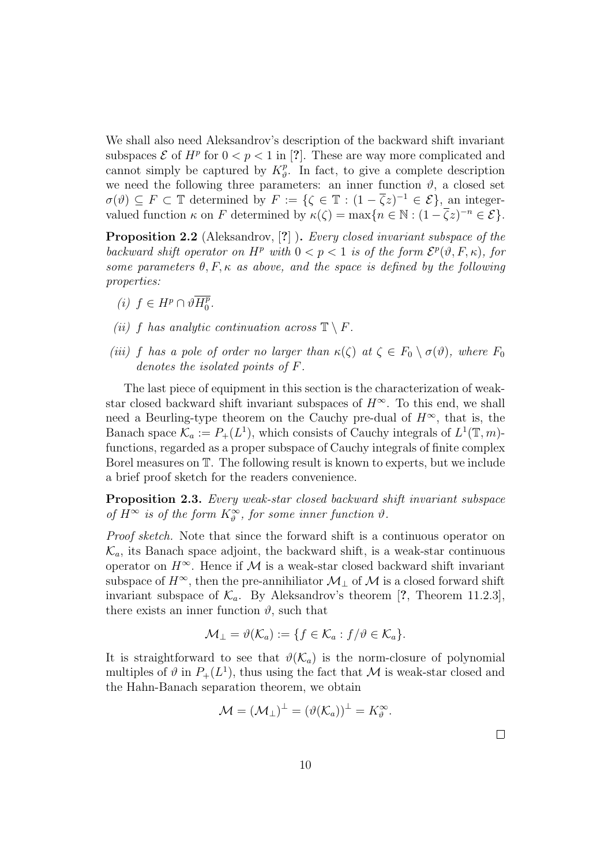We shall also need Aleksandrov's description of the backward shift invariant subspaces  $\mathcal E$  of  $H^p$  for  $0 < p < 1$  in [?]. These are way more complicated and cannot simply be captured by  $K^p_{\theta}$  $\psi^p$ . In fact, to give a complete description we need the following three parameters: an inner function  $\vartheta$ , a closed set  $\sigma(\vartheta) \subseteq F \subset \mathbb{T}$  determined by  $F := \{ \zeta \in \mathbb{T} : (1 - \overline{\zeta}z)^{-1} \in \mathcal{E} \},\$ an integervalued function  $\kappa$  on F determined by  $\kappa(\zeta) = \max\{n \in \mathbb{N} : (1 - \overline{\zeta}z)^{-n} \in \mathcal{E}\}.$ 

**Proposition 2.2** (Aleksandrov, [?]). Every closed invariant subspace of the backward shift operator on  $H^p$  with  $0 < p < 1$  is of the form  $\mathcal{E}^p(\vartheta, F, \kappa)$ , for some parameters  $\theta$ , F,  $\kappa$  as above, and the space is defined by the following properties:

- (i)  $f$  ∈  $H^p$  ∩  $\vartheta \overline{H^p_0}$  $\frac{p}{0}$ .
- (ii) f has analytic continuation across  $\mathbb{T} \setminus F$ .
- (iii) f has a pole of order no larger than  $\kappa(\zeta)$  at  $\zeta \in F_0 \setminus \sigma(\vartheta)$ , where  $F_0$ denotes the isolated points of F.

The last piece of equipment in this section is the characterization of weakstar closed backward shift invariant subspaces of  $H^{\infty}$ . To this end, we shall need a Beurling-type theorem on the Cauchy pre-dual of  $H^{\infty}$ , that is, the Banach space  $\mathcal{K}_a := P_+(L^1)$ , which consists of Cauchy integrals of  $L^1(\mathbb{T}, m)$ functions, regarded as a proper subspace of Cauchy integrals of finite complex Borel measures on T. The following result is known to experts, but we include a brief proof sketch for the readers convenience.

Proposition 2.3. Every weak-star closed backward shift invariant subspace of  $H^{\infty}$  is of the form  $K^{\infty}_{\vartheta}$ , for some inner function  $\vartheta$ .

Proof sketch. Note that since the forward shift is a continuous operator on  $\mathcal{K}_a$ , its Banach space adjoint, the backward shift, is a weak-star continuous operator on  $H^{\infty}$ . Hence if M is a weak-star closed backward shift invariant subspace of  $H^{\infty}$ , then the pre-annihiliator  $\mathcal{M}_\perp$  of  $\mathcal M$  is a closed forward shift invariant subspace of  $\mathcal{K}_a$ . By Aleksandrov's theorem [?, Theorem 11.2.3], there exists an inner function  $\vartheta$ , such that

$$
\mathcal{M}_{\perp} = \vartheta(\mathcal{K}_a) := \{ f \in \mathcal{K}_a : f/\vartheta \in \mathcal{K}_a \}.
$$

It is straightforward to see that  $\vartheta(\mathcal{K}_a)$  is the norm-closure of polynomial multiples of  $\vartheta$  in  $P_+(L^1)$ , thus using the fact that M is weak-star closed and the Hahn-Banach separation theorem, we obtain

$$
\mathcal{M} = (\mathcal{M}_{\perp})^{\perp} = (\vartheta(\mathcal{K}_a))^{\perp} = K^{\infty}_{\vartheta}.
$$

 $\Box$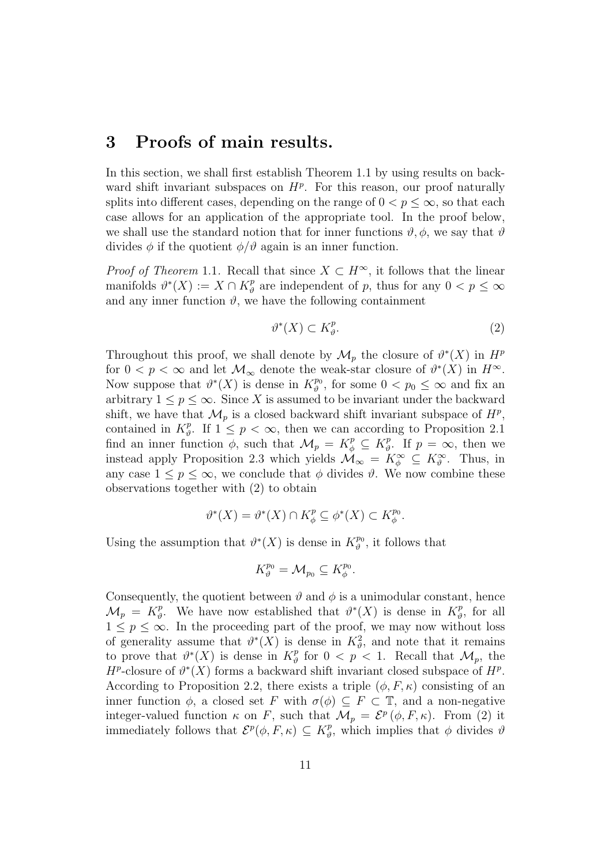### 3 Proofs of main results.

In this section, we shall first establish Theorem 1.1 by using results on backward shift invariant subspaces on  $H^p$ . For this reason, our proof naturally splits into different cases, depending on the range of  $0 < p < \infty$ , so that each case allows for an application of the appropriate tool. In the proof below, we shall use the standard notion that for inner functions  $\vartheta$ ,  $\phi$ , we say that  $\vartheta$ divides  $\phi$  if the quotient  $\phi/\vartheta$  again is an inner function.

*Proof of Theorem* 1.1. Recall that since  $X \subset H^{\infty}$ , it follows that the linear manifolds  $\vartheta^*(X) := X \cap K_{\vartheta}^p$  $_p^p$  are independent of p, thus for any  $0 < p \leq \infty$ and any inner function  $\vartheta$ , we have the following containment

$$
\vartheta^*(X) \subset K^p_\vartheta. \tag{2}
$$

Throughout this proof, we shall denote by  $\mathcal{M}_p$  the closure of  $\vartheta^*(X)$  in  $H^p$ for  $0 < p < \infty$  and let  $\mathcal{M}_{\infty}$  denote the weak-star closure of  $\vartheta^*(X)$  in  $H^{\infty}$ . Now suppose that  $\vartheta^*(X)$  is dense in  $K^{p_0}_{\vartheta}$  $t_p^{p_0}$ , for some  $0 < p_0 \leq \infty$  and fix an arbitrary  $1 \leq p \leq \infty$ . Since X is assumed to be invariant under the backward shift, we have that  $\mathcal{M}_p$  is a closed backward shift invariant subspace of  $H^p$ , contained in  $K_p^p$ <sup>p</sup><sub>0</sub>. If  $1 \leq p < \infty$ , then we can according to Proposition 2.1 find an inner function  $\phi$ , such that  $\mathcal{M}_p = K^p_{\phi} \subseteq K^p_{\theta}$  $\psi^p$ . If  $p = \infty$ , then we instead apply Proposition 2.3 which yields  $\mathcal{M}_{\infty} = K^{\infty}_{\phi} \subseteq K^{\infty}_{\theta}$ . Thus, in any case  $1 \leq p \leq \infty$ , we conclude that  $\phi$  divides  $\vartheta$ . We now combine these observations together with (2) to obtain

$$
\vartheta^*(X) = \vartheta^*(X) \cap K_{\phi}^p \subseteq \phi^*(X) \subset K_{\phi}^{p_0}.
$$

Using the assumption that  $\vartheta^*(X)$  is dense in  $K^{p_0}_{\vartheta}$  $\hat{\theta}^{p_0}$ , it follows that

$$
K_{\vartheta}^{p_0} = \mathcal{M}_{p_0} \subseteq K_{\phi}^{p_0}.
$$

Consequently, the quotient between  $\vartheta$  and  $\phi$  is a unimodular constant, hence  $\mathcal{M}_p = K^p_\vartheta$ <sup>p</sup><sub>0</sub>. We have now established that  $\theta^*(X)$  is dense in  $K^p_{\theta}$  $\frac{p}{\vartheta}$ , for all  $1 \leq p \leq \infty$ . In the proceeding part of the proof, we may now without loss of generality assume that  $\vartheta^*(X)$  is dense in  $K^2_{\vartheta}$ , and note that it remains to prove that  $\theta^*(X)$  is dense in  $K^p_{\theta}$  $\frac{p}{\vartheta}$  for  $0 < p < 1$ . Recall that  $\mathcal{M}_p$ , the  $H^p$ -closure of  $\vartheta^*(X)$  forms a backward shift invariant closed subspace of  $H^p$ . According to Proposition 2.2, there exists a triple  $(\phi, F, \kappa)$  consisting of an inner function  $\phi$ , a closed set F with  $\sigma(\phi) \subseteq F \subset \mathbb{T}$ , and a non-negative integer-valued function  $\kappa$  on F, such that  $\mathcal{M}_p = \mathcal{E}^p(\phi, F, \kappa)$ . From (2) it immediately follows that  $\mathcal{E}^p(\phi, F, \kappa) \subseteq K_p^p$  $\psi^p_{\theta}$ , which implies that  $\phi$  divides  $\theta$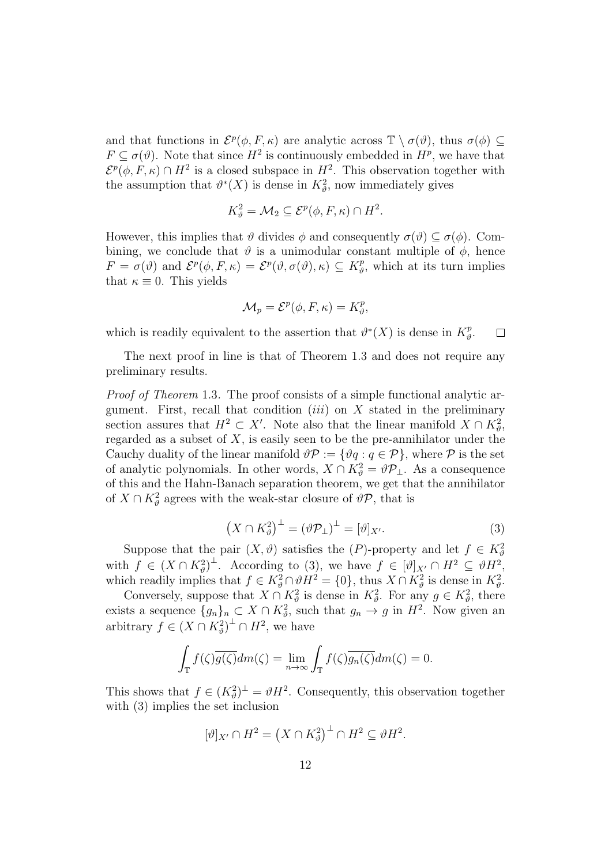and that functions in  $\mathcal{E}^p(\phi, F, \kappa)$  are analytic across  $\mathbb{T} \setminus \sigma(\vartheta)$ , thus  $\sigma(\phi) \subseteq$  $F \subseteq \sigma(\vartheta)$ . Note that since  $H^2$  is continuously embedded in  $H^p$ , we have that  $\mathcal{E}^p(\phi, F, \kappa) \cap H^2$  is a closed subspace in  $H^2$ . This observation together with the assumption that  $\theta^*(X)$  is dense in  $K^2_{\theta}$ , now immediately gives

$$
K_{\vartheta}^2 = \mathcal{M}_2 \subseteq \mathcal{E}^p(\phi, F, \kappa) \cap H^2.
$$

However, this implies that  $\vartheta$  divides  $\phi$  and consequently  $\sigma(\vartheta) \subseteq \sigma(\phi)$ . Combining, we conclude that  $\vartheta$  is a unimodular constant multiple of  $\varphi$ , hence  $F = \sigma(\vartheta)$  and  $\mathcal{E}^p(\phi, F, \kappa) = \mathcal{E}^p(\vartheta, \sigma(\vartheta), \kappa) \subseteq K^p_{\vartheta}$  $\psi^p_{\theta}$ , which at its turn implies that  $\kappa \equiv 0$ . This yields

$$
\mathcal{M}_p = \mathcal{E}^p(\phi, F, \kappa) = K_p^p,
$$

which is readily equivalent to the assertion that  $\theta^*(X)$  is dense in  $K^p_{\theta}$  $_{\vartheta}^{p}.$  $\Box$ 

The next proof in line is that of Theorem 1.3 and does not require any preliminary results.

Proof of Theorem 1.3. The proof consists of a simple functional analytic argument. First, recall that condition  $(iii)$  on X stated in the preliminary section assures that  $H^2 \subset X'$ . Note also that the linear manifold  $X \cap K^2_{\theta}$ , regarded as a subset of  $X$ , is easily seen to be the pre-annihilator under the Cauchy duality of the linear manifold  $\vartheta \mathcal{P} := {\vartheta q : q \in \mathcal{P}}$ , where  $\mathcal P$  is the set of analytic polynomials. In other words,  $X \cap K^2_{\theta} = \theta \mathcal{P}_\perp$ . As a consequence of this and the Hahn-Banach separation theorem, we get that the annihilator of  $X \cap K^2_{\theta}$  agrees with the weak-star closure of  $\vartheta \mathcal{P}$ , that is

$$
\left(X \cap K_{\vartheta}^2\right)^{\perp} = \left(\vartheta \mathcal{P}_{\perp}\right)^{\perp} = \left[\vartheta\right]_{X'}.\tag{3}
$$

Suppose that the pair  $(X, \vartheta)$  satisfies the  $(P)$ -property and let  $f \in K^2_{\vartheta}$ with  $f \in (X \cap K_{\vartheta}^2)^{\perp}$ . According to (3), we have  $f \in [\vartheta]_{X'} \cap H^2 \subseteq \vartheta H^2$ , which readily implies that  $f \in K^2_{\theta} \cap \theta H^2 = \{0\}$ , thus  $X \cap K^2_{\theta}$  is dense in  $K^2_{\theta}$ .

Conversely, suppose that  $X \cap K^2_{\theta}$  is dense in  $K^2_{\theta}$ . For any  $g \in K^2_{\theta}$ , there exists a sequence  ${g_n}_n \subset X \cap K_\vartheta^2$ , such that  $g_n \to g$  in  $H^2$ . Now given an arbitrary  $f \in (X \cap K_{\vartheta}^2)^{\perp} \cap H^2$ , we have

$$
\int_{\mathbb{T}} f(\zeta) \overline{g(\zeta)} dm(\zeta) = \lim_{n \to \infty} \int_{\mathbb{T}} f(\zeta) \overline{g_n(\zeta)} dm(\zeta) = 0.
$$

This shows that  $f \in (K^2_{\theta})^{\perp} = \theta H^2$ . Consequently, this observation together with (3) implies the set inclusion

$$
[\vartheta]_{X'} \cap H^2 = \left(X \cap K^2_{\vartheta}\right)^{\perp} \cap H^2 \subseteq \vartheta H^2.
$$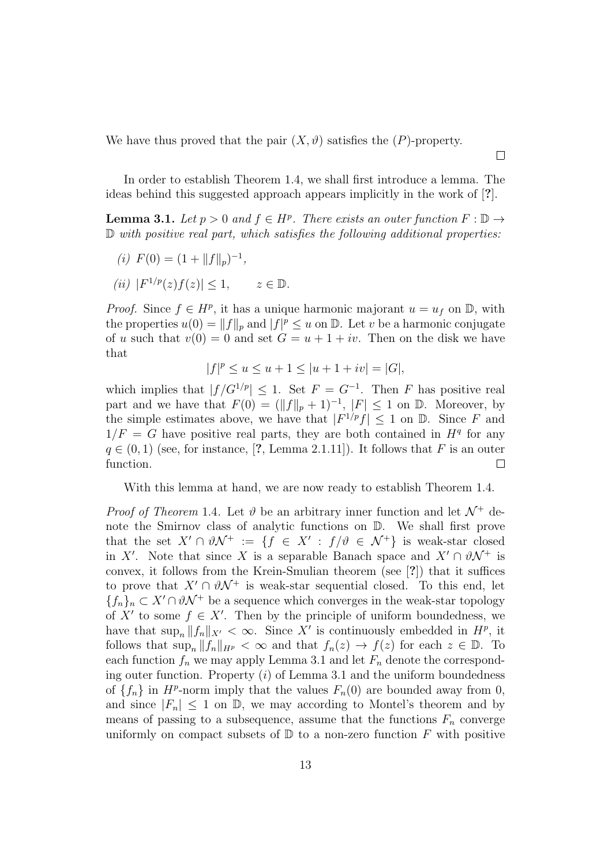We have thus proved that the pair  $(X, \vartheta)$  satisfies the  $(P)$ -property.

In order to establish Theorem 1.4, we shall first introduce a lemma. The ideas behind this suggested approach appears implicitly in the work of [?].

**Lemma 3.1.** Let  $p > 0$  and  $f \in H^p$ . There exists an outer function  $F : \mathbb{D} \to$ D with positive real part, which satisfies the following additional properties:

(*i*) 
$$
F(0) = (1 + ||f||_p)^{-1}
$$
,

(ii)  $|F^{1/p}(z)f(z)| \leq 1, \qquad z \in \mathbb{D}.$ 

*Proof.* Since  $f \in H^p$ , it has a unique harmonic majorant  $u = u_f$  on  $\mathbb{D}$ , with the properties  $u(0) = ||f||_p$  and  $|f|^p \leq u$  on  $\mathbb{D}$ . Let v be a harmonic conjugate of u such that  $v(0) = 0$  and set  $G = u + 1 + iv$ . Then on the disk we have that

$$
|f|^{p} \le u \le u + 1 \le |u + 1 + iv| = |G|,
$$

which implies that  $|f/G^{1/p}| \leq 1$ . Set  $F = G^{-1}$ . Then F has positive real part and we have that  $F(0) = (\|f\|_p + 1)^{-1}$ ,  $|F| \leq 1$  on D. Moreover, by the simple estimates above, we have that  $|F^{1/p}f| \leq 1$  on  $\mathbb{D}$ . Since F and  $1/F = G$  have positive real parts, they are both contained in  $H<sup>q</sup>$  for any  $q \in (0,1)$  (see, for instance, [?, Lemma 2.1.11]). It follows that F is an outer function.  $\Box$ 

With this lemma at hand, we are now ready to establish Theorem 1.4.

*Proof of Theorem* 1.4. Let  $\vartheta$  be an arbitrary inner function and let  $\mathcal{N}^+$  denote the Smirnov class of analytic functions on D. We shall first prove that the set  $X' \cap \vartheta \mathcal{N}^+ := \{f \in X' : f/\vartheta \in \mathcal{N}^+\}\$ is weak-star closed in X'. Note that since X is a separable Banach space and  $X' \cap \partial N^+$  is convex, it follows from the Krein-Smulian theorem (see [?]) that it suffices to prove that  $X' \cap \partial N^+$  is weak-star sequential closed. To this end, let  ${f_n}_n \subset X' \cap \vartheta \mathcal{N}^+$  be a sequence which converges in the weak-star topology of X' to some  $f \in X'$ . Then by the principle of uniform boundedness, we have that  $\sup_n ||f_n||_{X'} < \infty$ . Since X' is continuously embedded in  $H^p$ , it follows that  $\sup_n ||f_n||_{H^p} < \infty$  and that  $f_n(z) \to f(z)$  for each  $z \in \mathbb{D}$ . To each function  $f_n$  we may apply Lemma 3.1 and let  $F_n$  denote the corresponding outer function. Property  $(i)$  of Lemma 3.1 and the uniform boundedness of  $\{f_n\}$  in  $H^p$ -norm imply that the values  $F_n(0)$  are bounded away from 0, and since  $|F_n| \leq 1$  on  $\mathbb{D}$ , we may according to Montel's theorem and by means of passing to a subsequence, assume that the functions  $F_n$  converge uniformly on compact subsets of  $D$  to a non-zero function F with positive

 $\Box$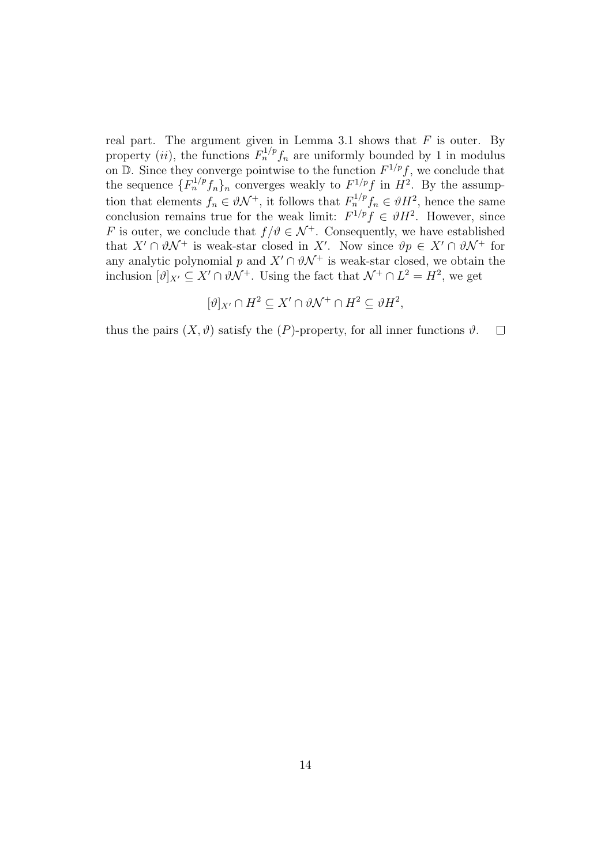real part. The argument given in Lemma 3.1 shows that  $F$  is outer. By property (*ii*), the functions  $F_n^{1/p} f_n$  are uniformly bounded by 1 in modulus on  $\mathbb{D}$ . Since they converge pointwise to the function  $F^{1/p}f$ , we conclude that the sequence  $\{F_n^{1/p}f_n\}_n$  converges weakly to  $F^{1/p}f$  in  $H^2$ . By the assumption that elements  $f_n \in \vartheta \mathcal{N}^+$ , it follows that  $F_n^{1/p} f_n \in \vartheta H^2$ , hence the same conclusion remains true for the weak limit:  $F^{1/p} f \in \partial H^2$ . However, since F is outer, we conclude that  $f/\vartheta \in \mathcal{N}^+$ . Consequently, we have established that  $X' \cap \vartheta \mathcal{N}^+$  is weak-star closed in X'. Now since  $\vartheta p \in X' \cap \vartheta \mathcal{N}^+$  for any analytic polynomial p and  $X' \cap \partial N^+$  is weak-star closed, we obtain the inclusion  $[\vartheta]_{X'} \subseteq X' \cap \vartheta \mathcal{N}^+$ . Using the fact that  $\mathcal{N}^+ \cap L^2 = H^2$ , we get

$$
[\vartheta]_{X'} \cap H^2 \subseteq X' \cap \vartheta \mathcal{N}^+ \cap H^2 \subseteq \vartheta H^2,
$$

thus the pairs  $(X, \vartheta)$  satisfy the  $(P)$ -property, for all inner functions  $\vartheta$ .  $\Box$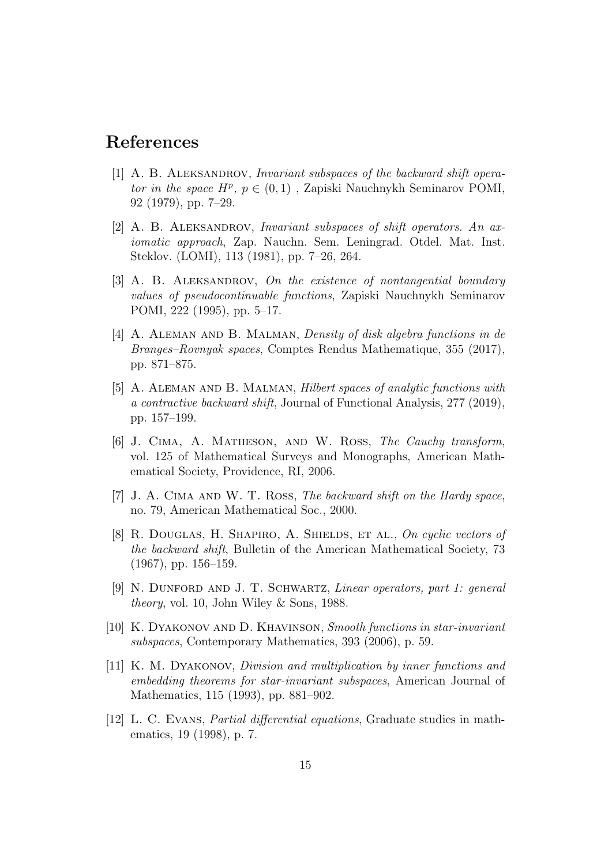## References

- [1] A. B. ALEKSANDROV, *Invariant subspaces of the backward shift opera*tor in the space  $H^p$ ,  $p \in (0,1)$ , Zapiski Nauchnykh Seminarov POMI, 92 (1979), pp. 7–29.
- [2] A. B. Aleksandrov, Invariant subspaces of shift operators. An axiomatic approach, Zap. Nauchn. Sem. Leningrad. Otdel. Mat. Inst. Steklov. (LOMI), 113 (1981), pp. 7–26, 264.
- [3] A. B. ALEKSANDROV, On the existence of nontangential boundary values of pseudocontinuable functions, Zapiski Nauchnykh Seminarov POMI, 222 (1995), pp. 5–17.
- [4] A. Aleman and B. Malman, Density of disk algebra functions in de Branges–Rovnyak spaces, Comptes Rendus Mathematique, 355 (2017), pp. 871–875.
- [5] A. Aleman and B. Malman, Hilbert spaces of analytic functions with a contractive backward shift, Journal of Functional Analysis, 277 (2019), pp. 157–199.
- [6] J. Cima, A. Matheson, and W. Ross, The Cauchy transform, vol. 125 of Mathematical Surveys and Monographs, American Mathematical Society, Providence, RI, 2006.
- [7] J. A. Cima and W. T. Ross, The backward shift on the Hardy space, no. 79, American Mathematical Soc., 2000.
- [8] R. DOUGLAS, H. SHAPIRO, A. SHIELDS, ET AL., On cyclic vectors of the backward shift, Bulletin of the American Mathematical Society, 73 (1967), pp. 156–159.
- [9] N. DUNFORD AND J. T. SCHWARTZ, *Linear operators, part 1: general* theory, vol. 10, John Wiley & Sons, 1988.
- [10] K. Dyakonov and D. Khavinson, Smooth functions in star-invariant subspaces, Contemporary Mathematics, 393 (2006), p. 59.
- [11] K. M. Dyakonov, Division and multiplication by inner functions and embedding theorems for star-invariant subspaces, American Journal of Mathematics, 115 (1993), pp. 881–902.
- [12] L. C. Evans, Partial differential equations, Graduate studies in mathematics, 19 (1998), p. 7.